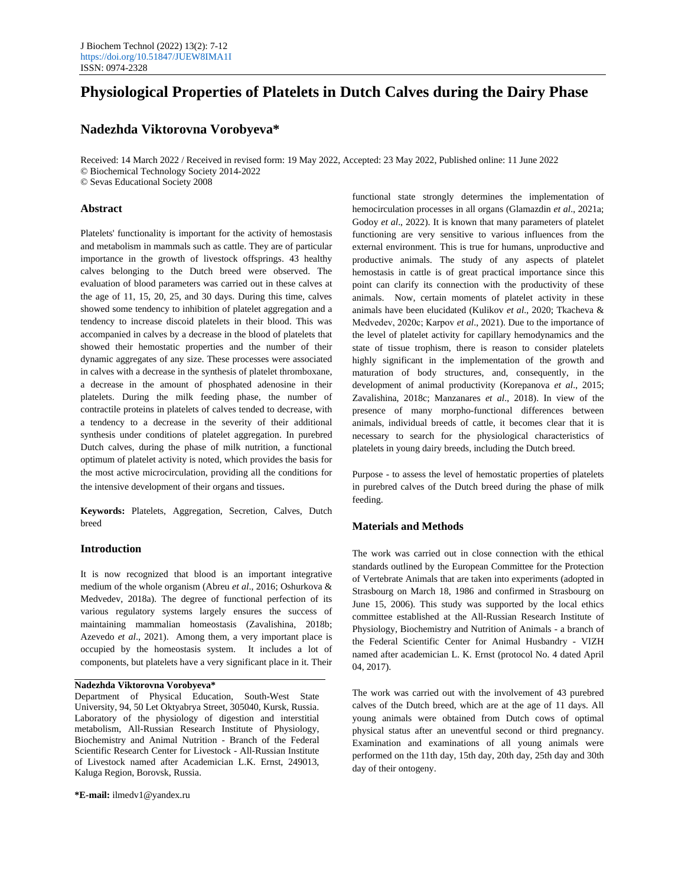# **Physiological Properties of Platelets in Dutch Calves during the Dairy Phase**

# **Nadezhda Viktorovna Vorobyeva\***

Received: 14 March 2022 / Received in revised form: 19 May 2022, Accepted: 23 May 2022, Published online: 11 June 2022 © Biochemical Technology Society 2014-2022 © Sevas Educational Society 2008

## **Abstract**

Platelets' functionality is important for the activity of hemostasis and metabolism in mammals such as cattle. They are of particular importance in the growth of livestock offsprings. 43 healthy calves belonging to the Dutch breed were observed. The evaluation of blood parameters was carried out in these calves at the age of 11, 15, 20, 25, and 30 days. During this time, calves showed some tendency to inhibition of platelet aggregation and a tendency to increase discoid platelets in their blood. This was accompanied in calves by a decrease in the blood of platelets that showed their hemostatic properties and the number of their dynamic aggregates of any size. These processes were associated in calves with a decrease in the synthesis of platelet thromboxane, a decrease in the amount of phosphated adenosine in their platelets. During the milk feeding phase, the number of contractile proteins in platelets of calves tended to decrease, with a tendency to a decrease in the severity of their additional synthesis under conditions of platelet aggregation. In purebred Dutch calves, during the phase of milk nutrition, a functional optimum of platelet activity is noted, which provides the basis for the most active microcirculation, providing all the conditions for the intensive development of their organs and tissues.

**Keywords:** Platelets, Aggregation, Secretion, Calves, Dutch breed

#### **Introduction**

It is now recognized that blood is an important integrative medium of the whole organism (Abreu *et al*., 2016; Oshurkova & Medvedev, 2018a). The degree of functional perfection of its various regulatory systems largely ensures the success of maintaining mammalian homeostasis (Zavalishina, 2018b; Azevedo *et al*., 2021). Among them, a very important place is occupied by the homeostasis system. It includes a lot of components, but platelets have a very significant place in it. Their

## **Nadezhda Viktorovna Vorobyeva\***

Department of Physical Education, South-West State University, 94, 50 Let Oktyabrya Street, 305040, Kursk, Russia. Laboratory of the physiology of digestion and interstitial metabolism, All-Russian Research Institute of Physiology, Biochemistry and Animal Nutrition - Branch of the Federal Scientific Research Center for Livestock - All-Russian Institute of Livestock named after Academician L.K. Ernst, 249013, Kaluga Region, Borovsk, Russia.

functional state strongly determines the implementation of hemocirculation processes in all organs (Glamazdin *et al*., 2021a; Godoy *et al*., 2022). It is known that many parameters of platelet functioning are very sensitive to various influences from the external environment. This is true for humans, unproductive and productive animals. The study of any aspects of platelet hemostasis in cattle is of great practical importance since this point can clarify its connection with the productivity of these animals. Now, certain moments of platelet activity in these animals have been elucidated (Kulikov *et al*., 2020; Tkacheva & Medvedev, 2020с; Karpov *et al*., 2021). Due to the importance of the level of platelet activity for capillary hemodynamics and the state of tissue trophism, there is reason to consider platelets highly significant in the implementation of the growth and maturation of body structures, and, consequently, in the development of animal productivity (Korepanova *et al*., 2015; Zavalishina, 2018c; Manzanares *et al*., 2018). In view of the presence of many morpho-functional differences between animals, individual breeds of cattle, it becomes clear that it is necessary to search for the physiological characteristics of platelets in young dairy breeds, including the Dutch breed.

Purpose - to assess the level of hemostatic properties of platelets in purebred calves of the Dutch breed during the phase of milk feeding.

# **Materials and Methods**

The work was carried out in close connection with the ethical standards outlined by the European Committee for the Protection of Vertebrate Animals that are taken into experiments (adopted in Strasbourg on March 18, 1986 and confirmed in Strasbourg on June 15, 2006). This study was supported by the local ethics committee established at the All-Russian Research Institute of Physiology, Biochemistry and Nutrition of Animals - a branch of the Federal Scientific Center for Animal Husbandry - VIZH named after academician L. K. Ernst (protocol No. 4 dated April 04, 2017).

The work was carried out with the involvement of 43 purebred calves of the Dutch breed, which are at the age of 11 days. All young animals were obtained from Dutch cows of optimal physical status after an uneventful second or third pregnancy. Examination and examinations of all young animals were performed on the 11th day, 15th day, 20th day, 25th day and 30th day of their ontogeny.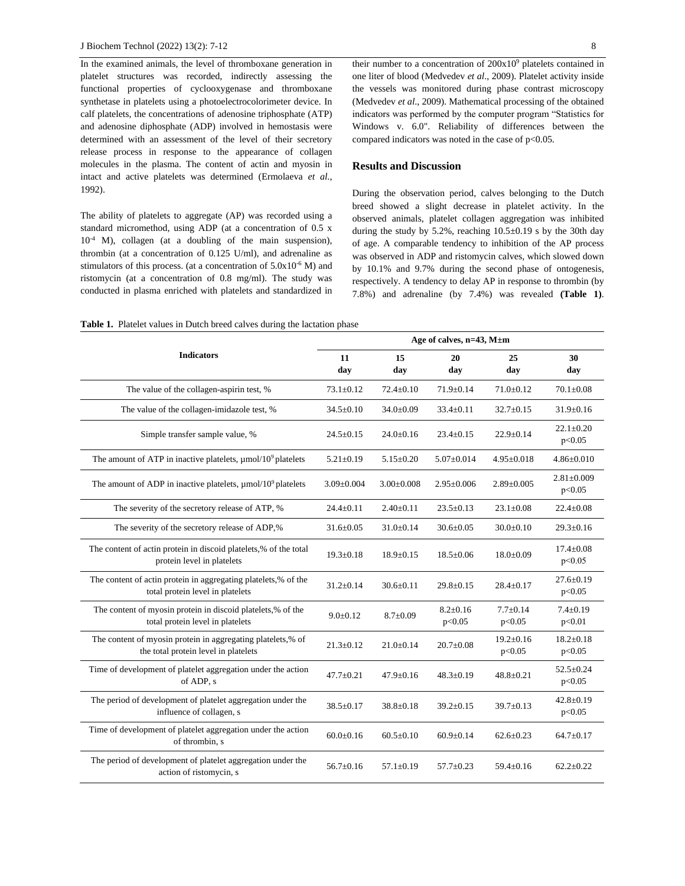In the examined animals, the level of thromboxane generation in platelet structures was recorded, indirectly assessing the functional properties of cyclooxygenase and thromboxane synthetase in platelets using a photoelectrocolorimeter device. In calf platelets, the concentrations of adenosine triphosphate (ATP) and adenosine diphosphate (ADP) involved in hemostasis were determined with an assessment of the level of their secretory release process in response to the appearance of collagen molecules in the plasma. The content of actin and myosin in intact and active platelets was determined (Ermolaeva *et al*., 1992).

The ability of platelets to aggregate (AP) was recorded using a standard micromethod, using ADP (at a concentration of 0.5 x 10-4 M), collagen (at a doubling of the main suspension), thrombin (at a concentration of 0.125 U/ml), and adrenaline as stimulators of this process. (at a concentration of  $5.0x10^{-6}$  M) and ristomycin (at a concentration of 0.8 mg/ml). The study was conducted in plasma enriched with platelets and standardized in

their number to a concentration of  $200x10<sup>9</sup>$  platelets contained in one liter of blood (Medvedev *et al*., 2009). Platelet activity inside the vessels was monitored during phase contrast microscopy (Medvedev *et al*., 2009). Mathematical processing of the obtained indicators was performed by the computer program "Statistics for Windows v. 6.0". Reliability of differences between the compared indicators was noted in the case of  $p<0.05$ .

## **Results and Discussion**

During the observation period, calves belonging to the Dutch breed showed a slight decrease in platelet activity. In the observed animals, platelet collagen aggregation was inhibited during the study by 5.2%, reaching  $10.5 \pm 0.19$  s by the 30th day of age. A comparable tendency to inhibition of the AP process was observed in ADP and ristomycin calves, which slowed down by 10.1% and 9.7% during the second phase of ontogenesis, respectively. A tendency to delay AP in response to thrombin (by 7.8%) and adrenaline (by 7.4%) was revealed **(Table 1)**.

**Table 1.** Platelet values in Dutch breed calves during the lactation phase

| <b>Indicators</b>                                                                                   | Age of calves, $n=43$ , $M \pm m$ |                  |                          |                           |                            |  |  |
|-----------------------------------------------------------------------------------------------------|-----------------------------------|------------------|--------------------------|---------------------------|----------------------------|--|--|
|                                                                                                     | 11<br>day                         | 15<br>day        | 20<br>day                | 25<br>day                 | 30<br>day                  |  |  |
| The value of the collagen-aspirin test, %                                                           | $73.1 \pm 0.12$                   | $72.4 \pm 0.10$  | $71.9 \pm 0.14$          | $71.0 \pm 0.12$           | $70.1 \pm 0.08$            |  |  |
| The value of the collagen-imidazole test, %                                                         | $34.5 \pm 0.10$                   | $34.0 \pm 0.09$  | $33.4 \pm 0.11$          | $32.7 \pm 0.15$           | $31.9 \pm 0.16$            |  |  |
| Simple transfer sample value, %                                                                     | $24.5 \pm 0.15$                   | $24.0 \pm 0.16$  | $23.4 \pm 0.15$          | $22.9 \pm 0.14$           | $22.1 \pm 0.20$<br>p<0.05  |  |  |
| The amount of ATP in inactive platelets, $\mu$ mol/10 <sup>9</sup> platelets                        | $5.21 \pm 0.19$                   | $5.15 \pm 0.20$  | $5.07 \pm 0.014$         | $4.95 \pm 0.018$          | $4.86 \pm 0.010$           |  |  |
| The amount of ADP in inactive platelets, $\mu$ mol/10 <sup>9</sup> platelets                        | $3.09 \pm 0.004$                  | $3.00 \pm 0.008$ | $2.95 \pm 0.006$         | $2.89 \pm 0.005$          | $2.81 \pm 0.009$<br>p<0.05 |  |  |
| The severity of the secretory release of ATP, %                                                     | $24.4 \pm 0.11$                   | $2.40 \pm 0.11$  | $23.5 \pm 0.13$          | $23.1 \pm 0.08$           | $22.4 \pm 0.08$            |  |  |
| The severity of the secretory release of ADP,%                                                      | $31.6 \pm 0.05$                   | $31.0 \pm 0.14$  | $30.6 \pm 0.05$          | $30.0 \pm 0.10$           | $29.3 \pm 0.16$            |  |  |
| The content of actin protein in discoid platelets,% of the total<br>protein level in platelets      | $19.3 \pm 0.18$                   | $18.9 \pm 0.15$  | $18.5 \pm 0.06$          | $18.0 \pm 0.09$           | $17.4 \pm 0.08$<br>p<0.05  |  |  |
| The content of actin protein in aggregating platelets,% of the<br>total protein level in platelets  | $31.2 \pm 0.14$                   | $30.6 \pm 0.11$  | $29.8 \pm 0.15$          | $28.4 \pm 0.17$           | $27.6 \pm 0.19$<br>p<0.05  |  |  |
| The content of myosin protein in discoid platelets,% of the<br>total protein level in platelets     | $9.0 \pm 0.12$                    | $8.7 \pm 0.09$   | $8.2 \pm 0.16$<br>p<0.05 | $7.7 \pm 0.14$<br>p<0.05  | $7.4 \pm 0.19$<br>p<0.01   |  |  |
| The content of myosin protein in aggregating platelets,% of<br>the total protein level in platelets | $21.3 \pm 0.12$                   | $21.0 \pm 0.14$  | $20.7 \pm 0.08$          | $19.2 \pm 0.16$<br>p<0.05 | $18.2 \pm 0.18$<br>p<0.05  |  |  |
| Time of development of platelet aggregation under the action<br>of ADP, s                           | $47.7 \pm 0.21$                   | $47.9 \pm 0.16$  | $48.3 \pm 0.19$          | $48.8 \pm 0.21$           | $52.5 \pm 0.24$<br>p<0.05  |  |  |
| The period of development of platelet aggregation under the<br>influence of collagen, s             | $38.5 \pm 0.17$                   | $38.8 \pm 0.18$  | $39.2 \pm 0.15$          | $39.7 \pm 0.13$           | $42.8 \pm 0.19$<br>p<0.05  |  |  |
| Time of development of platelet aggregation under the action<br>of thrombin, s                      | $60.0 \pm 0.16$                   | $60.5 \pm 0.10$  | $60.9 \pm 0.14$          | $62.6 \pm 0.23$           | $64.7 \pm 0.17$            |  |  |
| The period of development of platelet aggregation under the<br>action of ristomycin, s              | $56.7 \pm 0.16$                   | $57.1 \pm 0.19$  | $57.7 \pm 0.23$          | $59.4 \pm 0.16$           | $62.2 \pm 0.22$            |  |  |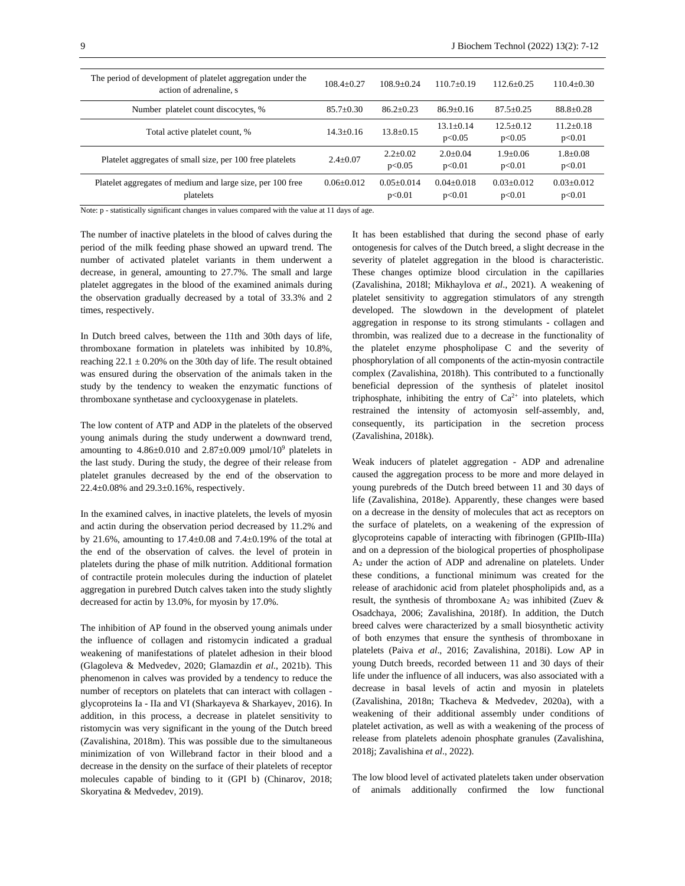| The period of development of platelet aggregation under the<br>action of adrenaline, s | $108.4 + 0.27$ | $108.9 + 0.24$         | $110.7+0.19$             | $112.6 + 0.25$          | $110.4 + 0.30$           |
|----------------------------------------------------------------------------------------|----------------|------------------------|--------------------------|-------------------------|--------------------------|
| Number platelet count discocytes, %                                                    | $85.7 + 0.30$  | $86.2 + 0.23$          | $86.9 + 0.16$            | $87.5 + 0.25$           | $88.8 + 0.28$            |
| Total active platelet count, %                                                         | $14.3 + 0.16$  | $13.8 + 0.15$          | $13.1 + 0.14$<br>p<0.05  | $12.5 + 0.12$<br>p<0.05 | $11.2 + 0.18$<br>p<0.01  |
| Platelet aggregates of small size, per 100 free platelets                              | $2.4+0.07$     | $2.2+0.02$<br>p<0.05   | $2.0+0.04$<br>p<0.01     | $1.9 + 0.06$<br>p<0.01  | $1.8 + 0.08$<br>p<0.01   |
| Platelet aggregates of medium and large size, per 100 free<br>platelets                | $0.06 + 0.012$ | $0.05+0.014$<br>p<0.01 | $0.04 + 0.018$<br>p<0.01 | $0.03+0.012$<br>p<0.01  | $0.03 + 0.012$<br>p<0.01 |

Note: p - statistically significant changes in values compared with the value at 11 days of age.

The number of inactive platelets in the blood of calves during the period of the milk feeding phase showed an upward trend. The number of activated platelet variants in them underwent a decrease, in general, amounting to 27.7%. The small and large platelet aggregates in the blood of the examined animals during the observation gradually decreased by a total of 33.3% and 2 times, respectively.

In Dutch breed calves, between the 11th and 30th days of life, thromboxane formation in platelets was inhibited by 10.8%, reaching  $22.1 \pm 0.20\%$  on the 30th day of life. The result obtained was ensured during the observation of the animals taken in the study by the tendency to weaken the enzymatic functions of thromboxane synthetase and cyclooxygenase in platelets.

The low content of ATP and ADP in the platelets of the observed young animals during the study underwent a downward trend, amounting to  $4.86 \pm 0.010$  and  $2.87 \pm 0.009$   $\mu$ mol/10<sup>9</sup> platelets in the last study. During the study, the degree of their release from platelet granules decreased by the end of the observation to 22.4±0.08% and 29.3±0.16%, respectively.

In the examined calves, in inactive platelets, the levels of myosin and actin during the observation period decreased by 11.2% and by 21.6%, amounting to  $17.4 \pm 0.08$  and  $7.4 \pm 0.19$ % of the total at the end of the observation of calves. the level of protein in platelets during the phase of milk nutrition. Additional formation of contractile protein molecules during the induction of platelet aggregation in purebred Dutch calves taken into the study slightly decreased for actin by 13.0%, for myosin by 17.0%.

The inhibition of AP found in the observed young animals under the influence of collagen and ristomycin indicated a gradual weakening of manifestations of platelet adhesion in their blood (Glagoleva & Medvedev, 2020; Glamazdin *et al*., 2021b). This phenomenon in calves was provided by a tendency to reduce the number of receptors on platelets that can interact with collagen glycoproteins Ia - IIa and VI (Sharkayeva & Sharkayev, 2016). In addition, in this process, a decrease in platelet sensitivity to ristomycin was very significant in the young of the Dutch breed (Zavalishina, 2018m). This was possible due to the simultaneous minimization of von Willebrand factor in their blood and a decrease in the density on the surface of their platelets of receptor molecules capable of binding to it (GPI b) (Chinarov, 2018; Skoryatina & Medvedev, 2019).

It has been established that during the second phase of early ontogenesis for calves of the Dutch breed, a slight decrease in the severity of platelet aggregation in the blood is characteristic. These changes optimize blood circulation in the capillaries (Zavalishina, 2018l; Mikhaylova *et al*., 2021). A weakening of platelet sensitivity to aggregation stimulators of any strength developed. The slowdown in the development of platelet aggregation in response to its strong stimulants - collagen and thrombin, was realized due to a decrease in the functionality of the platelet enzyme phospholipase C and the severity of phosphorylation of all components of the actin-myosin contractile complex (Zavalishina, 2018h). This contributed to a functionally beneficial depression of the synthesis of platelet inositol triphosphate, inhibiting the entry of  $Ca^{2+}$  into platelets, which restrained the intensity of actomyosin self-assembly, and, consequently, its participation in the secretion process (Zavalishina, 2018k).

Weak inducers of platelet aggregation - ADP and adrenaline caused the aggregation process to be more and more delayed in young purebreds of the Dutch breed between 11 and 30 days of life (Zavalishina, 2018e). Apparently, these changes were based on a decrease in the density of molecules that act as receptors on the surface of platelets, on a weakening of the expression of glycoproteins capable of interacting with fibrinogen (GPIIb-IIIa) and on a depression of the biological properties of phospholipase A<sup>2</sup> under the action of ADP and adrenaline on platelets. Under these conditions, a functional minimum was created for the release of arachidonic acid from platelet phospholipids and, as a result, the synthesis of thromboxane  $A_2$  was inhibited (Zuev & Osadchaya, 2006; Zavalishina, 2018f). In addition, the Dutch breed calves were characterized by a small biosynthetic activity of both enzymes that ensure the synthesis of thromboxane in platelets (Paiva *et al*., 2016; Zavalishina, 2018i). Low AP in young Dutch breeds, recorded between 11 and 30 days of their life under the influence of all inducers, was also associated with a decrease in basal levels of actin and myosin in platelets (Zavalishina, 2018n; Tkacheva & Medvedev, 2020a), with a weakening of their additional assembly under conditions of platelet activation, as well as with a weakening of the process of release from platelets adenoin phosphate granules (Zavalishina, 2018j; Zavalishina *et al*., 2022).

The low blood level of activated platelets taken under observation of animals additionally confirmed the low functional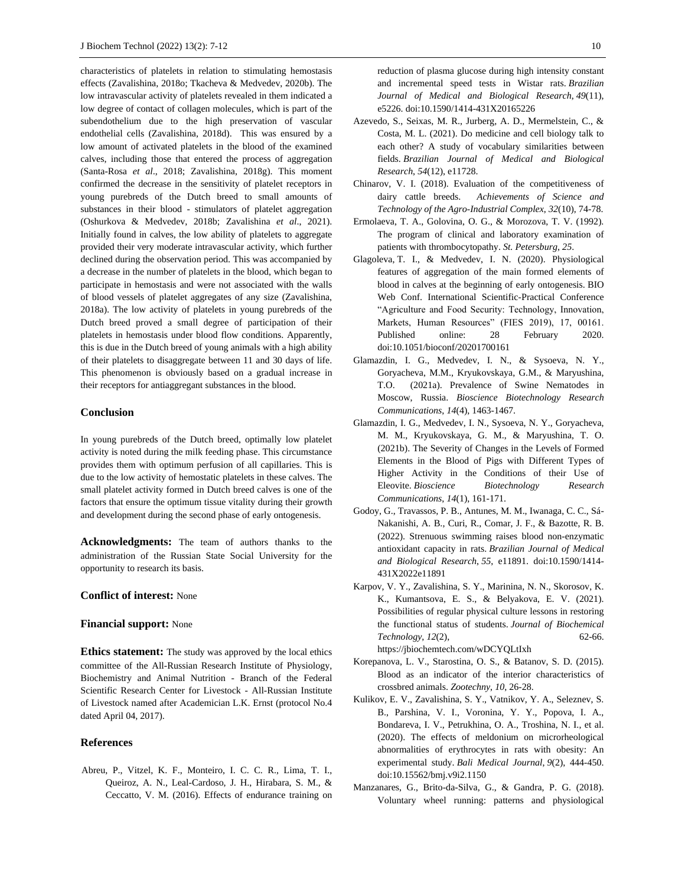characteristics of platelets in relation to stimulating hemostasis effects (Zavalishina, 2018o; Tkacheva & Medvedev, 2020b). The low intravascular activity of platelets revealed in them indicated a low degree of contact of collagen molecules, which is part of the subendothelium due to the high preservation of vascular endothelial cells (Zavalishina, 2018d). This was ensured by a low amount of activated platelets in the blood of the examined calves, including those that entered the process of aggregation (Santa-Rosa *et al*., 2018; Zavalishina, 2018g). This moment confirmed the decrease in the sensitivity of platelet receptors in young purebreds of the Dutch breed to small amounts of substances in their blood - stimulators of platelet aggregation (Oshurkova & Medvedev, 2018b; Zavalishina *et al*., 2021). Initially found in calves, the low ability of platelets to aggregate provided their very moderate intravascular activity, which further declined during the observation period. This was accompanied by a decrease in the number of platelets in the blood, which began to participate in hemostasis and were not associated with the walls of blood vessels of platelet aggregates of any size (Zavalishina, 2018a). The low activity of platelets in young purebreds of the Dutch breed proved a small degree of participation of their platelets in hemostasis under blood flow conditions. Apparently, this is due in the Dutch breed of young animals with a high ability of their platelets to disaggregate between 11 and 30 days of life. This phenomenon is obviously based on a gradual increase in their receptors for antiaggregant substances in the blood.

#### **Conclusion**

In young purebreds of the Dutch breed, optimally low platelet activity is noted during the milk feeding phase. This circumstance provides them with optimum perfusion of all capillaries. This is due to the low activity of hemostatic platelets in these calves. The small platelet activity formed in Dutch breed calves is one of the factors that ensure the optimum tissue vitality during their growth and development during the second phase of early ontogenesis.

**Acknowledgments:** The team of authors thanks to the administration of the Russian State Social University for the opportunity to research its basis.

# **Conflict of interest:** None

#### **Financial support:** None

**Ethics statement:** The study was approved by the local ethics committee of the All-Russian Research Institute of Physiology, Biochemistry and Animal Nutrition - Branch of the Federal Scientific Research Center for Livestock - All-Russian Institute of Livestock named after Academician L.K. Ernst (protocol No.4 dated April 04, 2017).

#### **References**

Abreu, P., Vitzel, K. F., Monteiro, I. C. C. R., Lima, T. I., Queiroz, A. N., Leal-Cardoso, J. H., Hirabara, S. M., & Ceccatto, V. M. (2016). Effects of endurance training on reduction of plasma glucose during high intensity constant and incremental speed tests in Wistar rats. *Brazilian Journal of Medical and Biological Research*, *49*(11), e5226. doi:10.1590/1414-431X20165226

- Azevedo, S., Seixas, M. R., Jurberg, A. D., Mermelstein, C., & Costa, M. L. (2021). Do medicine and cell biology talk to each other? A study of vocabulary similarities between fields. *Brazilian Journal of Medical and Biological Research*, *54*(12), e11728.
- Chinarov, V. I. (2018). Evaluation of the competitiveness of dairy cattle breeds. *Achievements of Science and Technology of the Agro-Industrial Complex*, *32*(10), 74-78.
- Ermolaeva, T. A., Golovina, O. G., & Morozova, T. V. (1992). The program of clinical and laboratory examination of patients with thrombocytopathy. *St. Petersburg*, *25*.
- Glagoleva, T. I., & Medvedev, I. N. (2020). Physiological features of aggregation of the main formed elements of blood in calves at the beginning of early ontogenesis. BIO Web Conf. International Scientific-Practical Conference "Agriculture and Food Security: Technology, Innovation, Markets, Human Resources" (FIES 2019), 17, 00161. Published online: 28 February 2020. doi:10.1051/bioconf/20201700161
- Glamazdin, I. G., Medvedev, I. N., & Sysoeva, N. Y., Goryacheva, M.M., Kryukovskaya, G.M., & Maryushina, T.O. (2021a). Prevalence of Swine Nematodes in Moscow, Russia. *Bioscience Biotechnology Research Communications*, *14*(4), 1463-1467.
- Glamazdin, I. G., Medvedev, I. N., Sysoeva, N. Y., Goryacheva, M. M., Kryukovskaya, G. M., & Maryushina, T. O. (2021b). The Severity of Changes in the Levels of Formed Elements in the Blood of Pigs with Different Types of Higher Activity in the Conditions of their Use of Eleovite. *Bioscience Biotechnology Research Communications*, *14*(1), 161-171.
- Godoy, G., Travassos, P. B., Antunes, M. M., Iwanaga, C. C., Sá-Nakanishi, A. B., Curi, R., Comar, J. F., & Bazotte, R. B. (2022). Strenuous swimming raises blood non-enzymatic antioxidant capacity in rats. *Brazilian Journal of Medical and Biological Research*, *55*, e11891. doi:10.1590/1414- 431X2022e11891
- Karpov, V. Y., Zavalishina, S. Y., Marinina, N. N., Skorosov, K. K., Kumantsova, E. S., & Belyakova, E. V. (2021). Possibilities of regular physical culture lessons in restoring the functional status of students. *Journal of Biochemical Technology*, *12*(2), 62-66. https://jbiochemtech.com/wDCYQLtIxh
- Korepanova, L. V., Starostina, O. S., & Batanov, S. D. (2015). Blood as an indicator of the interior characteristics of crossbred animals. *Zootechny*, *10*, 26-28.
- Kulikov, E. V., Zavalishina, S. Y., Vatnikov, Y. A., Seleznev, S. B., Parshina, V. I., Voronina, Y. Y., Popova, I. A., Bondareva, I. V., Petrukhina, O. A., Troshina, N. I., et al. (2020). The effects of meldonium on microrheological abnormalities of erythrocytes in rats with obesity: An experimental study. *Bali Medical Journal*, *9*(2), 444-450. doi:10.15562/bmj.v9i2.1150
- Manzanares, G., Brito-da-Silva, G., & Gandra, P. G. (2018). Voluntary wheel running: patterns and physiological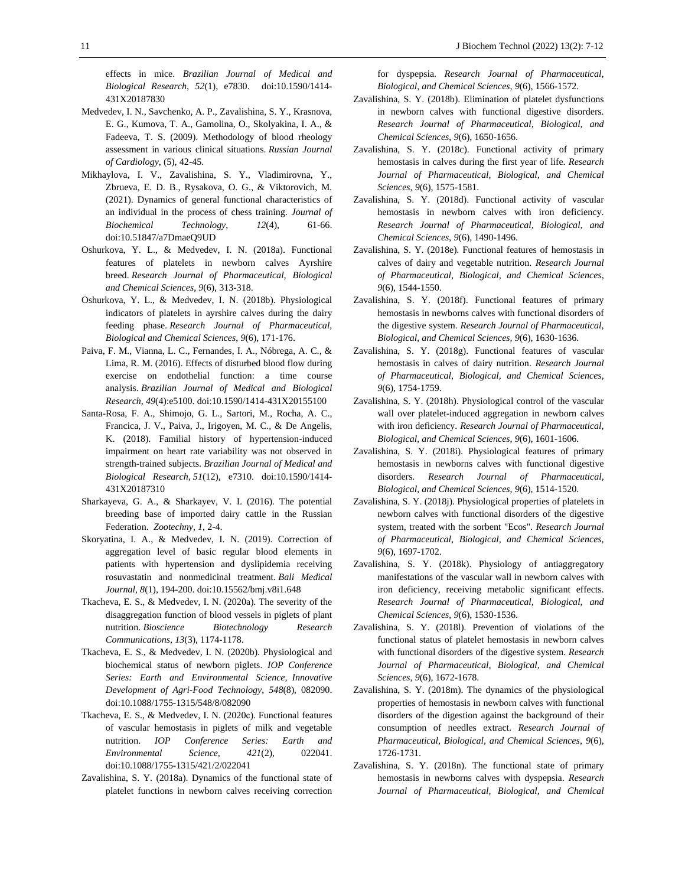effects in mice. *Brazilian Journal of Medical and Biological Research, 52*(1), e7830. doi:10.1590/1414- 431X20187830

- Medvedev, I. N., Savchenko, A. P., Zavalishina, S. Y., Krasnova, E. G., Kumova, T. A., Gamolina, O., Skolyakina, I. A., & Fadeeva, T. S. (2009). Methodology of blood rheology assessment in various clinical situations. *Russian Journal of Cardiology*, (5), 42-45.
- Mikhaylova, I. V., Zavalishina, S. Y., Vladimirovna, Y., Zbrueva, E. D. B., Rysakova, O. G., & Viktorovich, M. (2021). Dynamics of general functional characteristics of an individual in the process of chess training. *Journal of Biochemical Technology*, *12*(4), 61-66. doi:10.51847/a7DmaeQ9UD
- Oshurkova, Y. L., & Medvedev, I. N. (2018a). Functional features of platelets in newborn calves Ayrshire breed. *Research Journal of Pharmaceutical, Biological and Chemical Sciences*, *9*(6), 313-318.
- Oshurkova, Y. L., & Medvedev, I. N. (2018b). Physiological indicators of platelets in ayrshire calves during the dairy feeding phase. *Research Journal of Pharmaceutical, Biological and Chemical Sciences*, *9*(6), 171-176.
- Paiva, F. M., Vianna, L. C., Fernandes, I. A., Nóbrega, A. C., & Lima, R. M. (2016). Effects of disturbed blood flow during exercise on endothelial function: a time course analysis. *Brazilian Journal of Medical and Biological Research*, *49*(4):e5100. doi:10.1590/1414-431X20155100
- Santa-Rosa, F. A., Shimojo, G. L., Sartori, M., Rocha, A. C., Francica, J. V., Paiva, J., Irigoyen, M. C., & De Angelis, K. (2018). Familial history of hypertension-induced impairment on heart rate variability was not observed in strength-trained subjects. *Brazilian Journal of Medical and Biological Research*, *51*(12), e7310. doi:10.1590/1414- 431X20187310
- Sharkayeva, G. A., & Sharkayev, V. I. (2016). The potential breeding base of imported dairy cattle in the Russian Federation. *Zootechny*, *1*, 2-4.
- Skoryatina, I. A., & Medvedev, I. N. (2019). Correction of aggregation level of basic regular blood elements in patients with hypertension and dyslipidemia receiving rosuvastatin and nonmedicinal treatment. *Bali Medical Journal*, *8*(1), 194-200. doi:10.15562/bmj.v8i1.648
- Tkacheva, E. S., & Medvedev, I. N. (2020a). The severity of the disaggregation function of blood vessels in piglets of plant nutrition. *Bioscience Biotechnology Research Communications*, *13*(3), 1174-1178.
- Tkacheva, E. S., & Medvedev, I. N. (2020b). Physiological and biochemical status of newborn piglets. *IOP [Conference](https://iopscience.iop.org/journal/1755-1315) Series: Earth and [Environmental](https://iopscience.iop.org/journal/1755-1315) Science, [Innovative](https://iopscience.iop.org/issue/1755-1315/548/8) [Development](https://iopscience.iop.org/issue/1755-1315/548/8) of Agri-Food Technology, 548*(8), 082090. doi:10.1088/1755-1315/548/8/082090
- Tkacheva, E. S., & Medvedev, I. N. (2020с). Functional features of vascular hemostasis in piglets of milk and vegetable nutrition. *IOP Conference Series: Earth and Environmental Science, 421*(2), 022041. doi:10.1088/1755-1315/421/2/022041
- Zavalishina, S. Y. (2018a). Dynamics of the functional state of platelet functions in newborn calves receiving correction

for dyspepsia. *Research Journal of Pharmaceutical, Biological, and Chemical Sciences*, *9*(6), 1566-1572.

- Zavalishina, S. Y. (2018b). Elimination of platelet dysfunctions in newborn calves with functional digestive disorders. *Research Journal of Pharmaceutical, Biological, and Chemical Sciences*, *9*(6), 1650-1656.
- Zavalishina, S. Y. (2018c). Functional activity of primary hemostasis in calves during the first year of life. *Research Journal of Pharmaceutical, Biological, and Chemical Sciences*, *9*(6), 1575-1581.
- Zavalishina, S. Y. (2018d). Functional activity of vascular hemostasis in newborn calves with iron deficiency. *Research Journal of Pharmaceutical, Biological, and Chemical Sciences*, *9*(6), 1490-1496.
- Zavalishina, S. Y. (2018e). Functional features of hemostasis in calves of dairy and vegetable nutrition. *Research Journal of Pharmaceutical, Biological, and Chemical Sciences*, *9*(6), 1544-1550.
- Zavalishina, S. Y. (2018f). Functional features of primary hemostasis in newborns calves with functional disorders of the digestive system. *Research Journal of Pharmaceutical, Biological, and Chemical Sciences, 9*(6), 1630-1636.
- Zavalishina, S. Y. (2018g). Functional features of vascular hemostasis in calves of dairy nutrition. *Research Journal of Pharmaceutical, Biological, and Chemical Sciences*, *9*(6), 1754-1759.
- Zavalishina, S. Y. (2018h). Physiological control of the vascular wall over platelet-induced aggregation in newborn calves with iron deficiency. *Research Journal of Pharmaceutical, Biological, and Chemical Sciences, 9*(6), 1601-1606.
- Zavalishina, S. Y. (2018i). Physiological features of primary hemostasis in newborns calves with functional digestive disorders. *Research Journal of Pharmaceutical, Biological, and Chemical Sciences*, *9*(6), 1514-1520.
- Zavalishina, S. Y. (2018j). Physiological properties of platelets in newborn calves with functional disorders of the digestive system, treated with the sorbent "Ecos". *Research Journal of Pharmaceutical, Biological, and Chemical Sciences, 9*(6), 1697-1702.
- Zavalishina, S. Y. (2018k). Physiology of antiaggregatory manifestations of the vascular wall in newborn calves with iron deficiency, receiving metabolic significant effects. *Research Journal of Pharmaceutical, Biological, and Chemical Sciences*, *9*(6), 1530-1536.
- Zavalishina, S. Y. (2018l). Prevention of violations of the functional status of platelet hemostasis in newborn calves with functional disorders of the digestive system. *Research Journal of Pharmaceutical, Biological, and Chemical Sciences*, *9*(6), 1672-1678.
- Zavalishina, S. Y. (2018m). The dynamics of the physiological properties of hemostasis in newborn calves with functional disorders of the digestion against the background of their consumption of needles extract. *Research Journal of Pharmaceutical, Biological, and Chemical Sciences*, *9*(6), 1726-1731.
- Zavalishina, S. Y. (2018n). The functional state of primary hemostasis in newborns calves with dyspepsia. *Research Journal of Pharmaceutical, Biological, and Chemical*